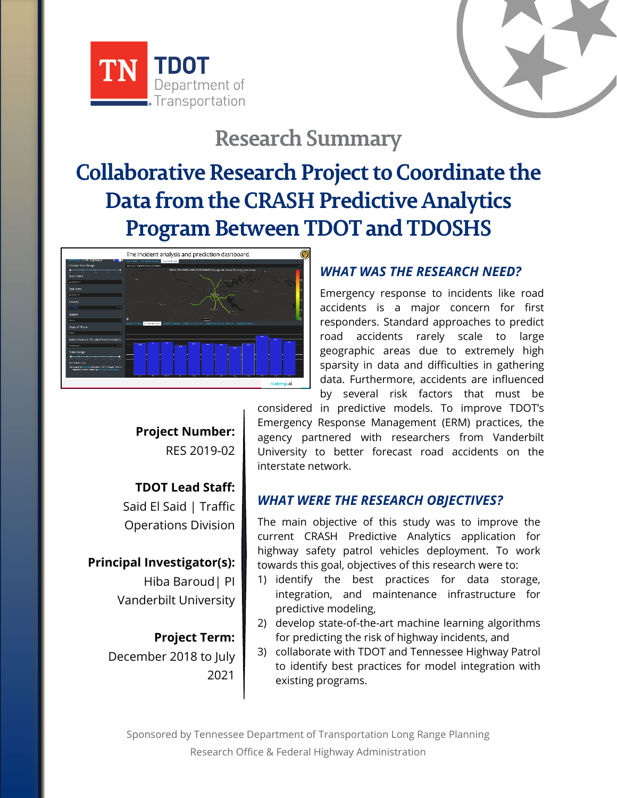

# **Research Summary**

# **Collaborative Research Project to Coordinate the Data from the CRASH Predictive Analytics Program Between TDOT and TDOSHS**



## *WHAT WAS THE RESEARCH NEED?*

Emergency response to incidents like road accidents is a major concern for first responders. Standard approaches to predict road accidents rarely scale to large geographic areas due to extremely high sparsity in data and difficulties in gathering data. Furthermore, accidents are influenced by several risk factors that must be

**Project Number:** RES 2019-02

**TDOT Lead Staff:** Said El Said | Traffic Operations Division

**Principal Investigator(s):** Hiba Baroud| PI Vanderbilt University

> **Project Term:** December 2018 to July 2021

considered in predictive models. To improve TDOT's Emergency Response Management (ERM) practices, the agency partnered with researchers from Vanderbilt University to better forecast road accidents on the interstate network.

### *WHAT WERE THE RESEARCH OBJECTIVES?*

The main objective of this study was to improve the current CRASH Predictive Analytics application for highway safety patrol vehicles deployment. To work towards this goal, objectives of this research were to:

- 1) identify the best practices for data storage, integration, and maintenance infrastructure for predictive modeling,
- 2) develop state-of-the-art machine learning algorithms for predicting the risk of highway incidents, and
- 3) collaborate with TDOT and Tennessee Highway Patrol to identify best practices for model integration with existing programs.

Sponsored by Tennessee Department of Transportation Long Range Planning Research Office & Federal Highway Administration